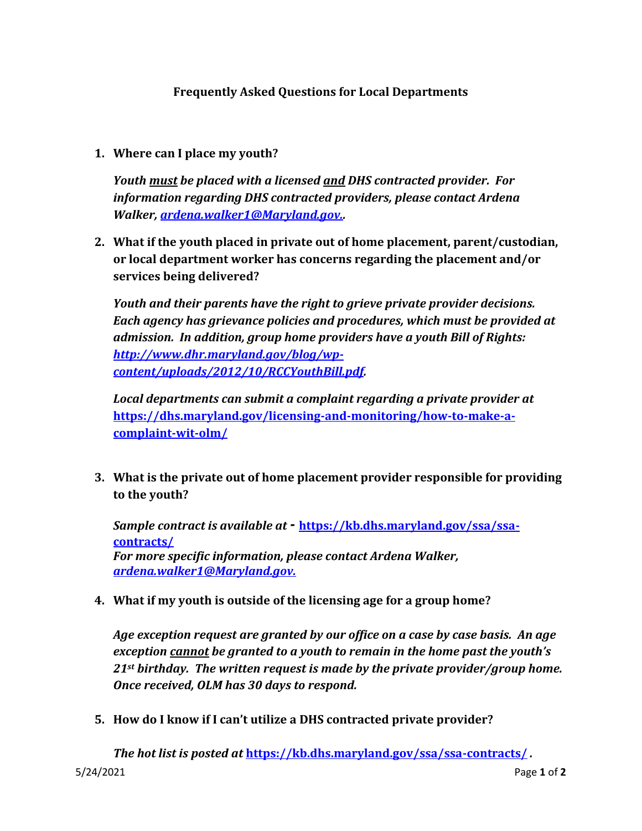## **Frequently Asked Questions for Local Departments**

**1. Where can I place my youth?**

*Youth must be placed with a licensed and DHS contracted provider. For information regarding DHS contracted providers, please contact Ardena Walker, [ardena.walker1@Maryland.gov.](mailto:ardena.walker1@Maryland.gov).*

**2. What if the youth placed in private out of home placement, parent/custodian, or local department worker has concerns regarding the placement and/or services being delivered?** 

*Youth and their parents have the right to grieve private provider decisions. Each agency has grievance policies and procedures, which must be provided at admission. In addition, group home providers have a youth Bill of Rights: [http://www.dhr.maryland.gov/blog/wp](http://www.dhr.maryland.gov/blog/wp-content/uploads/2012/10/RCCYouthBill.pdf)[content/uploads/2012/10/RCCYouthBill.pdf.](http://www.dhr.maryland.gov/blog/wp-content/uploads/2012/10/RCCYouthBill.pdf)*

*Local departments can submit a complaint regarding a private provider at*  **[https://dhs.maryland.gov/licensing-and-monitoring/how-to-make-a](https://dhs.maryland.gov/licensing-and-monitoring/how-to-make-a-complaint-wit-olm/)[complaint-wit-olm/](https://dhs.maryland.gov/licensing-and-monitoring/how-to-make-a-complaint-wit-olm/)**

**3. What is the private out of home placement provider responsible for providing to the youth?** 

*Sample contract is available at -* **[https://kb.dhs.maryland.gov/ssa/ssa](https://kb.dhs.maryland.gov/ssa/ssa-contracts/)[contracts/](https://kb.dhs.maryland.gov/ssa/ssa-contracts/)** *For more specific information, please contact Ardena Walker, [ardena.walker1@Maryland.gov.](mailto:ardena.walker1@Maryland.gov)* 

**4. What if my youth is outside of the licensing age for a group home?** 

*Age exception request are granted by our office on a case by case basis. An age exception cannot be granted to a youth to remain in the home past the youth's 21st birthday. The written request is made by the private provider/group home. Once received, OLM has 30 days to respond.*

**5. How do I know if I can't utilize a DHS contracted private provider?**

5/24/2021 Page **1** of **2** *The hot list is posted at* **<https://kb.dhs.maryland.gov/ssa/ssa-contracts/>** *.*